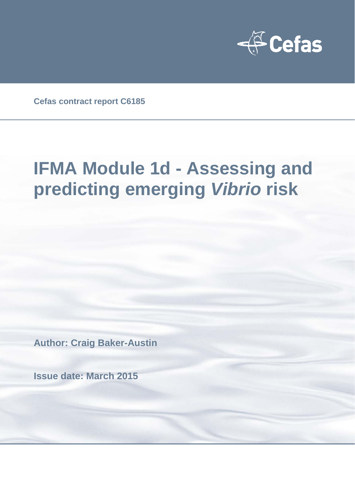

**Cefas contract report C6185**

# **IFMA Module 1d - Assessing and predicting emerging** *Vibrio* **risk**

**Author: Craig Baker-Austin**

**Issue date: March 2015**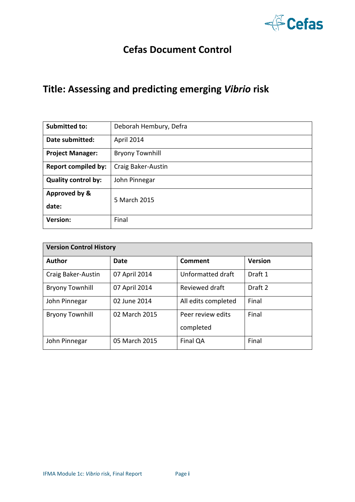

### **Cefas Document Control**

### **Title: Assessing and predicting emerging** *Vibrio* **risk**

| <b>Submitted to:</b>       | Deborah Hembury, Defra |
|----------------------------|------------------------|
| Date submitted:            | April 2014             |
| <b>Project Manager:</b>    | <b>Bryony Townhill</b> |
| <b>Report compiled by:</b> | Craig Baker-Austin     |
| <b>Quality control by:</b> | John Pinnegar          |
| Approved by &<br>date:     | 5 March 2015           |
| <b>Version:</b>            | Final                  |

| <b>Version Control History</b> |               |                     |                |  |
|--------------------------------|---------------|---------------------|----------------|--|
| <b>Author</b>                  | Date          | Comment             | <b>Version</b> |  |
| Craig Baker-Austin             | 07 April 2014 | Unformatted draft   | Draft 1        |  |
| <b>Bryony Townhill</b>         | 07 April 2014 | Reviewed draft      | Draft 2        |  |
| John Pinnegar                  | 02 June 2014  | All edits completed | Final          |  |
| <b>Bryony Townhill</b>         | 02 March 2015 | Peer review edits   | Final          |  |
|                                |               | completed           |                |  |
| John Pinnegar                  | 05 March 2015 | Final QA            | Final          |  |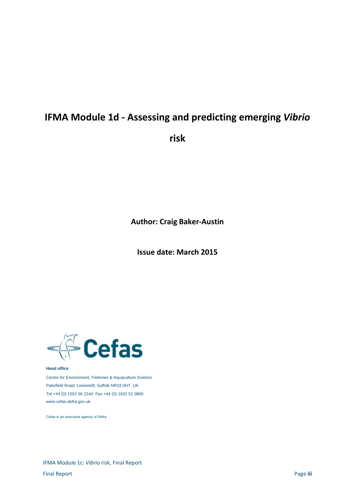## **IFMA Module 1d - Assessing and predicting emerging** *Vibrio*

**risk**

**Author: Craig Baker-Austin**

**Issue date: March 2015**



#### **Head office**

Centre for Environment, Fisheries & Aquaculture Science Pakefield Road, Lowestoft, Suffolk NR33 0HT, UK Tel +44 (0) 1502 56 2244 Fax +44 (0) 1502 51 3865 www.cefas.defra.gov.uk

Cefas is an executive agency of Defra

IFMA Module 1c: *Vibrio* risk, Final Report Final Report Page **iii**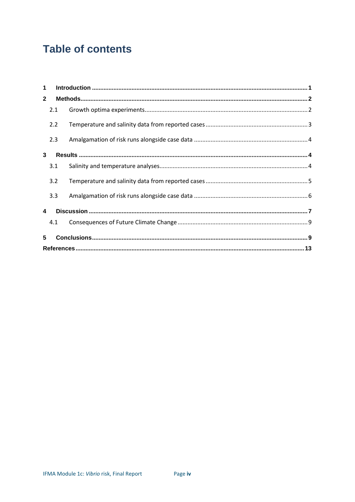### **Table of contents**

| 1            |     |  |
|--------------|-----|--|
| $\mathbf{2}$ |     |  |
|              | 2.1 |  |
|              | 2.2 |  |
|              | 2.3 |  |
| 3            |     |  |
|              | 3.1 |  |
|              | 3.2 |  |
|              | 3.3 |  |
| 4            |     |  |
|              | 4.1 |  |
| 5            |     |  |
|              |     |  |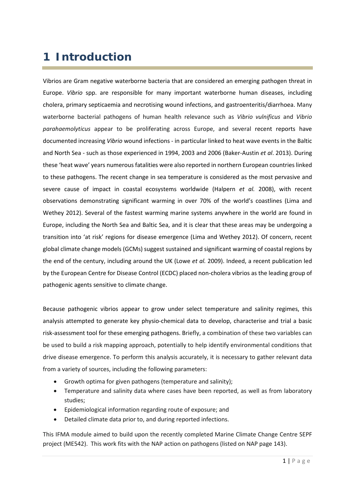### **1 Introduction**

Vibrios are Gram negative waterborne bacteria that are considered an emerging pathogen threat in Europe. *Vibrio* spp. are responsible for many important waterborne human diseases, including cholera, primary septicaemia and necrotising wound infections, and gastroenteritis/diarrhoea. Many waterborne bacterial pathogens of human health relevance such as *Vibrio vulnificus* and *Vibrio parahaemolyticus* appear to be proliferating across Europe, and several recent reports have documented increasing *Vibrio* wound infections - in particular linked to heat wave events in the Baltic and North Sea - such as those experienced in 1994, 2003 and 2006 (Baker-Austin *et al*. 2013). During these 'heat wave' years numerous fatalities were also reported in northern European countries linked to these pathogens. The recent change in sea temperature is considered as the most pervasive and severe cause of impact in coastal ecosystems worldwide (Halpern *et al.* 2008), with recent observations demonstrating significant warming in over 70% of the world's coastlines (Lima and Wethey 2012). Several of the fastest warming marine systems anywhere in the world are found in Europe, including the North Sea and Baltic Sea, and it is clear that these areas may be undergoing a transition into 'at risk' regions for disease emergence (Lima and Wethey 2012). Of concern, recent global climate change models (GCMs) suggest sustained and significant warming of coastal regions by the end of the century, including around the UK (Lowe *et al.* 2009). Indeed, a recent publication led by the European Centre for Disease Control (ECDC) placed non-cholera vibrios as the leading group of pathogenic agents sensitive to climate change.

Because pathogenic vibrios appear to grow under select temperature and salinity regimes, this analysis attempted to generate key physio-chemical data to develop, characterise and trial a basic risk-assessment tool for these emerging pathogens. Briefly, a combination of these two variables can be used to build a risk mapping approach, potentially to help identify environmental conditions that drive disease emergence. To perform this analysis accurately, it is necessary to gather relevant data from a variety of sources, including the following parameters:

- Growth optima for given pathogens (temperature and salinity);
- Temperature and salinity data where cases have been reported, as well as from laboratory studies;
- Epidemiological information regarding route of exposure; and
- Detailed climate data prior to, and during reported infections.

This IFMA module aimed to build upon the recently completed Marine Climate Change Centre SEPF project (ME542). This work fits with the NAP action on pathogens (listed on NAP page 143).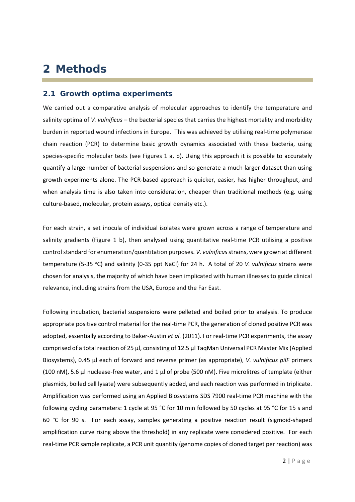### **2 Methods**

#### **2.1 Growth optima experiments**

We carried out a comparative analysis of molecular approaches to identify the temperature and salinity optima of *V. vulnificus* – the bacterial species that carries the highest mortality and morbidity burden in reported wound infections in Europe. This was achieved by utilising real-time polymerase chain reaction (PCR) to determine basic growth dynamics associated with these bacteria, using species-specific molecular tests (see Figures 1 a, b). Using this approach it is possible to accurately quantify a large number of bacterial suspensions and so generate a much larger dataset than using growth experiments alone. The PCR-based approach is quicker, easier, has higher throughput, and when analysis time is also taken into consideration, cheaper than traditional methods (e.g. using culture-based, molecular, protein assays, optical density etc.).

For each strain, a set inocula of individual isolates were grown across a range of temperature and salinity gradients (Figure 1 b), then analysed using quantitative real-time PCR utilising a positive control standard for enumeration/quantitation purposes. *V. vulnificus*strains, were grown at different temperature (5-35 °C) and salinity (0-35 ppt NaCl) for 24 h. A total of 20 *V. vulnificus* strains were chosen for analysis, the majority of which have been implicated with human illnesses to guide clinical relevance, including strains from the USA, Europe and the Far East.

Following incubation, bacterial suspensions were pelleted and boiled prior to analysis. To produce appropriate positive control material for the real-time PCR, the generation of cloned positive PCR was adopted, essentially according to Baker-Austin *et al.* (2011). For real-time PCR experiments, the assay comprised of a total reaction of 25 µl, consisting of 12.5 µl TaqMan Universal PCR Master Mix (Applied Biosystems), 0.45 µl each of forward and reverse primer (as appropriate), *V. vulnificus pilF* primers (100 nM), 5.6 µl nuclease-free water, and 1 µl of probe (500 nM). Five microlitres of template (either plasmids, boiled cell lysate) were subsequently added, and each reaction was performed in triplicate. Amplification was performed using an Applied Biosystems SDS 7900 real-time PCR machine with the following cycling parameters: 1 cycle at 95 °C for 10 min followed by 50 cycles at 95 °C for 15 s and 60 °C for 90 s. For each assay, samples generating a positive reaction result (sigmoid-shaped amplification curve rising above the threshold) in any replicate were considered positive. For each real-time PCR sample replicate, a PCR unit quantity (genome copies of cloned target per reaction) was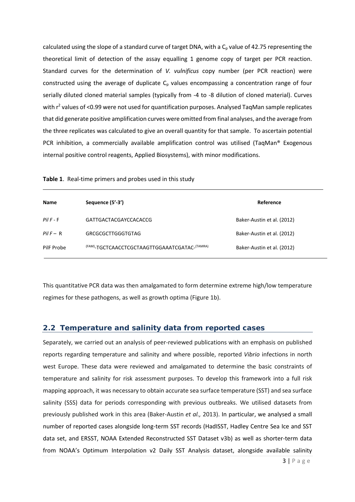calculated using the slope of a standard curve of target DNA, with a  $C_p$  value of 42.75 representing the theoretical limit of detection of the assay equalling 1 genome copy of target per PCR reaction. Standard curves for the determination of *V. vulnificus* copy number (per PCR reaction) were constructed using the average of duplicate  $C_p$  values encompassing a concentration range of four serially diluted cloned material samples (typically from -4 to -8 dilution of cloned material). Curves with r<sup>2</sup> values of <0.99 were not used for quantification purposes. Analysed TaqMan sample replicates that did generate positive amplification curves were omitted from final analyses, and the average from the three replicates was calculated to give an overall quantity for that sample. To ascertain potential PCR inhibition, a commercially available amplification control was utilised (TaqMan® Exogenous internal positive control reagents, Applied Biosystems), with minor modifications.

| Table 1. Real-time primers and probes used in this study |  |  |  |  |  |  |  |  |
|----------------------------------------------------------|--|--|--|--|--|--|--|--|
|----------------------------------------------------------|--|--|--|--|--|--|--|--|

| <b>Name</b>    | Sequence (5'-3')                              | Reference                  |
|----------------|-----------------------------------------------|----------------------------|
| $P$ il $F - F$ | GATTGACTACGAYCCACACCG                         | Baker-Austin et al. (2012) |
| $PilF - R$     | <b>GRCGCGCTTGGGTGTAG</b>                      | Baker-Austin et al. (2012) |
| PilF Probe     | (FAM)-TGCTCAACCTCGCTAAGTTGGAAATCGATAC-(TAMRA) | Baker-Austin et al. (2012) |

This quantitative PCR data was then amalgamated to form determine extreme high/low temperature regimes for these pathogens, as well as growth optima (Figure 1b).

#### **2.2 Temperature and salinity data from reported cases**

Separately, we carried out an analysis of peer-reviewed publications with an emphasis on published reports regarding temperature and salinity and where possible, reported *Vibrio* infections in north west Europe. These data were reviewed and amalgamated to determine the basic constraints of temperature and salinity for risk assessment purposes. To develop this framework into a full risk mapping approach, it was necessary to obtain accurate sea surface temperature (SST) and sea surface salinity (SSS) data for periods corresponding with previous outbreaks. We utilised datasets from previously published work in this area (Baker-Austin *et al.,* 2013). In particular, we analysed a small number of reported cases alongside long-term SST records (HadISST, Hadley Centre Sea Ice and SST data set, and ERSST, NOAA Extended Reconstructed SST Dataset v3b) as well as shorter-term data from NOAA's Optimum Interpolation v2 Daily SST Analysis dataset, alongside available salinity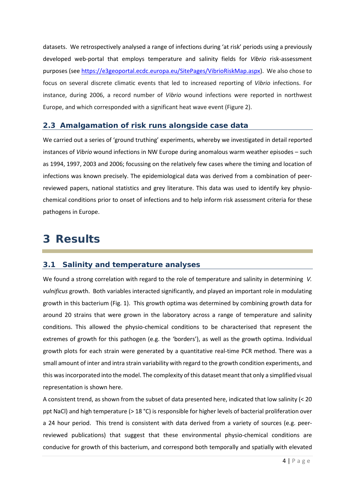datasets. We retrospectively analysed a range of infections during 'at risk' periods using a previously developed web-portal that employs temperature and salinity fields for *Vibrio* risk-assessment purposes (se[e https://e3geoportal.ecdc.europa.eu/SitePages/VibrioRiskMap.aspx\)](https://e3geoportal.ecdc.europa.eu/SitePages/VibrioRiskMap.aspx). We also chose to focus on several discrete climatic events that led to increased reporting of *Vibrio* infections. For instance, during 2006, a record number of *Vibrio* wound infections were reported in northwest Europe, and which corresponded with a significant heat wave event (Figure 2).

#### **2.3 Amalgamation of risk runs alongside case data**

We carried out a series of 'ground truthing' experiments, whereby we investigated in detail reported instances of *Vibrio* wound infections in NW Europe during anomalous warm weather episodes – such as 1994, 1997, 2003 and 2006; focussing on the relatively few cases where the timing and location of infections was known precisely. The epidemiological data was derived from a combination of peerreviewed papers, national statistics and grey literature. This data was used to identify key physiochemical conditions prior to onset of infections and to help inform risk assessment criteria for these pathogens in Europe.

### **3 Results**

#### **3.1 Salinity and temperature analyses**

We found a strong correlation with regard to the role of temperature and salinity in determining *V. vulnificus* growth. Both variables interacted significantly, and played an important role in modulating growth in this bacterium (Fig. 1). This growth optima was determined by combining growth data for around 20 strains that were grown in the laboratory across a range of temperature and salinity conditions. This allowed the physio-chemical conditions to be characterised that represent the extremes of growth for this pathogen (e.g. the 'borders'), as well as the growth optima. Individual growth plots for each strain were generated by a quantitative real-time PCR method. There was a small amount of inter and intra strain variability with regard to the growth condition experiments, and this wasincorporated into the model. The complexity of this dataset meant that only a simplified visual representation is shown here.

A consistent trend, as shown from the subset of data presented here, indicated that low salinity (< 20 ppt NaCl) and high temperature (> 18 °C) is responsible for higher levels of bacterial proliferation over a 24 hour period. This trend is consistent with data derived from a variety of sources (e.g. peerreviewed publications) that suggest that these environmental physio-chemical conditions are conducive for growth of this bacterium, and correspond both temporally and spatially with elevated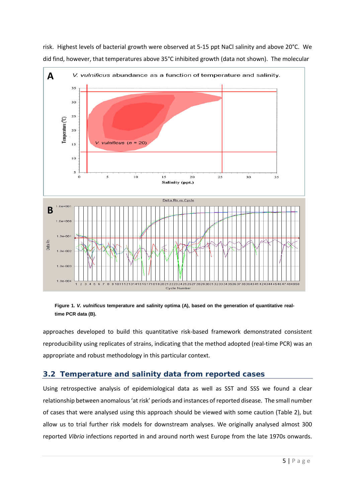

risk. Highest levels of bacterial growth were observed at 5-15 ppt NaCl salinity and above 20°C. We did find, however, that temperatures above 35°C inhibited growth (data not shown). The molecular

**Figure 1.** *V. vulnificus* **temperature and salinity optima (A), based on the generation of quantitative realtime PCR data (B).** 

approaches developed to build this quantitative risk-based framework demonstrated consistent reproducibility using replicates of strains, indicating that the method adopted (real-time PCR) was an appropriate and robust methodology in this particular context.

#### **3.2 Temperature and salinity data from reported cases**

Using retrospective analysis of epidemiological data as well as SST and SSS we found a clear relationship between anomalous 'at risk' periods and instances of reported disease. The small number of cases that were analysed using this approach should be viewed with some caution (Table 2), but allow us to trial further risk models for downstream analyses. We originally analysed almost 300 reported *Vibrio* infections reported in and around north west Europe from the late 1970s onwards.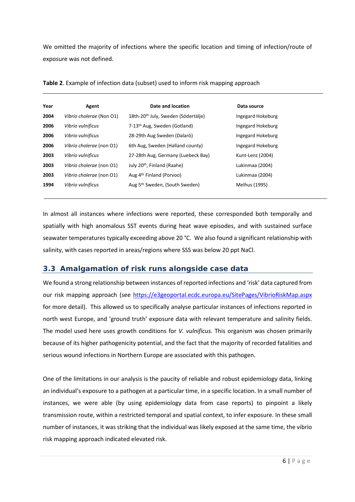We omitted the majority of infections where the specific location and timing of infection/route of exposure was not defined.

| Year | Agent                    | Date and location                               | Data source       |
|------|--------------------------|-------------------------------------------------|-------------------|
| 2004 | Vibrio cholerae (Non O1) | 18th-20 <sup>th</sup> July, Sweden (Södertälje) | Ingegard Hokeburg |
| 2006 | Vibrio vulnificus        | 7-13 <sup>th</sup> Aug, Sweden (Gotland)        | Ingegard Hokeburg |
| 2006 | Vibrio vulnificus        | 28-29th Aug Sweden (Dalarö)                     | Ingegard Hokeburg |
| 2006 | Vibrio cholerae (non O1) | 6th Aug, Sweden (Halland county)                | Ingegard Hokeburg |
| 2003 | Vibrio vulnificus        | 27-28th Aug, Germany (Luebeck Bay)              | Kunt-Lenz (2004)  |
| 2003 | Vibrio cholerae (non O1) | July 20 <sup>th</sup> , Finland (Raahe)         | Lukinmaa (2004)   |
| 2003 | Vibrio cholerae (non O1) | Aug 4th Finland (Porvoo)                        | Lukinmaa (2004)   |
| 1994 | Vibrio vulnificus        | Aug 5 <sup>th</sup> Sweden, (South Sweden)      | Melhus (1995)     |
|      |                          |                                                 |                   |

**Table 2**. Example of infection data (subset) used to inform risk mapping approach

In almost all instances where infections were reported, these corresponded both temporally and spatially with high anomalous SST events during heat wave episodes, and with sustained surface seawater temperatures typically exceeding above 20 °C. We also found a significant relationship with salinity, with cases reported in areas/regions where SSS was below 20 ppt NaCl.

### **3.3 Amalgamation of risk runs alongside case data**

We found a strong relationship between instances of reported infections and 'risk' data captured from our risk mapping approach (see <https://e3geoportal.ecdc.europa.eu/SitePages/VibrioRiskMap.aspx> for more detail). This allowed us to specifically analyse particular instances of infections reported in north west Europe, and 'ground truth' exposure data with relevant temperature and salinity fields. The model used here uses growth conditions for *V. vulnificus.* This organism was chosen primarily because of its higher pathogenicity potential, and the fact that the majority of recorded fatalities and serious wound infections in Northern Europe are associated with this pathogen.

One of the limitations in our analysis is the paucity of reliable and robust epidemiology data, linking an individual's exposure to a pathogen at a particular time, in a specific location. In a small number of instances, we were able (by using epidemiology data from case reports) to pinpoint a likely transmission route, within a restricted temporal and spatial context, to infer exposure. In these small number of instances, it was striking that the individual was likely exposed at the same time, the vibrio risk mapping approach indicated elevated risk.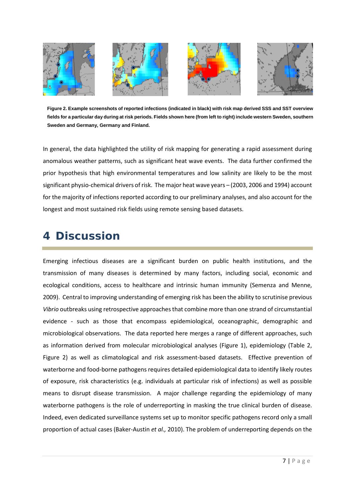

**Figure 2. Example screenshots of reported infections (indicated in black) with risk map derived SSS and SST overview fields for a particular day during at risk periods. Fields shown here (from left to right) include western Sweden, southern Sweden and Germany, Germany and Finland.**

In general, the data highlighted the utility of risk mapping for generating a rapid assessment during anomalous weather patterns, such as significant heat wave events. The data further confirmed the prior hypothesis that high environmental temperatures and low salinity are likely to be the most significant physio-chemical drivers of risk. The major heat wave years – (2003, 2006 and 1994) account for the majority of infections reported according to our preliminary analyses, and also account for the longest and most sustained risk fields using remote sensing based datasets.

### **4 Discussion**

Emerging infectious diseases are a significant burden on public health institutions, and the transmission of many diseases is determined by many factors, including social, economic and ecological conditions, access to healthcare and intrinsic human immunity (Semenza and Menne, 2009). Central to improving understanding of emerging risk has been the ability to scrutinise previous *Vibrio* outbreaks using retrospective approaches that combine more than one strand of circumstantial evidence - such as those that encompass epidemiological, oceanographic, demographic and microbiological observations. The data reported here merges a range of different approaches, such as information derived from molecular microbiological analyses (Figure 1), epidemiology (Table 2, Figure 2) as well as climatological and risk assessment-based datasets. Effective prevention of waterborne and food-borne pathogens requires detailed epidemiological data to identify likely routes of exposure, risk characteristics (e.g. individuals at particular risk of infections) as well as possible means to disrupt disease transmission. A major challenge regarding the epidemiology of many waterborne pathogens is the role of underreporting in masking the true clinical burden of disease. Indeed, even dedicated surveillance systems set up to monitor specific pathogens record only a small proportion of actual cases (Baker-Austin *et al.,* 2010). The problem of underreporting depends on the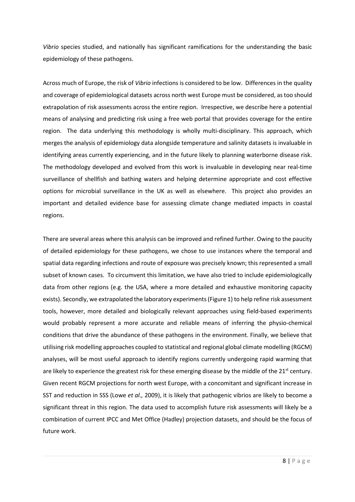*Vibrio* species studied, and nationally has significant ramifications for the understanding the basic epidemiology of these pathogens.

Across much of Europe, the risk of *Vibrio* infections is considered to be low. Differences in the quality and coverage of epidemiological datasets across north west Europe must be considered, as too should extrapolation of risk assessments across the entire region. Irrespective, we describe here a potential means of analysing and predicting risk using a free web portal that provides coverage for the entire region. The data underlying this methodology is wholly multi-disciplinary. This approach, which merges the analysis of epidemiology data alongside temperature and salinity datasets is invaluable in identifying areas currently experiencing, and in the future likely to planning waterborne disease risk. The methodology developed and evolved from this work is invaluable in developing near real-time surveillance of shellfish and bathing waters and helping determine appropriate and cost effective options for microbial surveillance in the UK as well as elsewhere. This project also provides an important and detailed evidence base for assessing climate change mediated impacts in coastal regions.

There are several areas where this analysis can be improved and refined further. Owing to the paucity of detailed epidemiology for these pathogens, we chose to use instances where the temporal and spatial data regarding infections and route of exposure was precisely known; this represented a small subset of known cases. To circumvent this limitation, we have also tried to include epidemiologically data from other regions (e.g. the USA, where a more detailed and exhaustive monitoring capacity exists). Secondly, we extrapolated the laboratory experiments (Figure 1) to help refine risk assessment tools, however, more detailed and biologically relevant approaches using field-based experiments would probably represent a more accurate and reliable means of inferring the physio-chemical conditions that drive the abundance of these pathogens in the environment. Finally, we believe that utilising risk modelling approaches coupled to statistical and regional global climate modelling (RGCM) analyses, will be most useful approach to identify regions currently undergoing rapid warming that are likely to experience the greatest risk for these emerging disease by the middle of the  $21<sup>st</sup>$  century. Given recent RGCM projections for north west Europe, with a concomitant and significant increase in SST and reduction in SSS (Lowe *et al.,* 2009), it is likely that pathogenic vibrios are likely to become a significant threat in this region. The data used to accomplish future risk assessments will likely be a combination of current IPCC and Met Office (Hadley) projection datasets, and should be the focus of future work.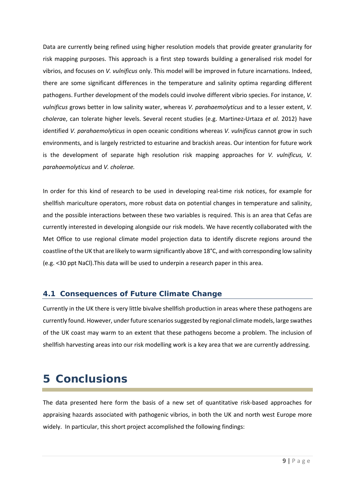Data are currently being refined using higher resolution models that provide greater granularity for risk mapping purposes. This approach is a first step towards building a generalised risk model for vibrios, and focuses on *V. vulnificus* only. This model will be improved in future incarnations. Indeed, there are some significant differences in the temperature and salinity optima regarding different pathogens. Further development of the models could involve different vibrio species. For instance, *V. vulnificus* grows better in low salinity water, whereas *V. parahaemolyticus* and to a lesser extent, *V. cholera*e, can tolerate higher levels. Several recent studies (e.g. Martinez-Urtaza *et al.* 2012) have identified *V. parahaemolyticus* in open oceanic conditions whereas *V. vulnificus* cannot grow in such environments, and is largely restricted to estuarine and brackish areas. Our intention for future work is the development of separate high resolution risk mapping approaches for *V. vulnificus, V. parahaemolyticus* and *V. cholerae.*

In order for this kind of research to be used in developing real-time risk notices, for example for shellfish mariculture operators, more robust data on potential changes in temperature and salinity, and the possible interactions between these two variables is required. This is an area that Cefas are currently interested in developing alongside our risk models. We have recently collaborated with the Met Office to use regional climate model projection data to identify discrete regions around the coastline of the UK that are likely to warm significantly above 18°C, and with corresponding low salinity (e.g. <30 ppt NaCl).This data will be used to underpin a research paper in this area.

#### **4.1 Consequences of Future Climate Change**

Currently in the UK there is very little bivalve shellfish production in areas where these pathogens are currently found. However, under future scenarios suggested by regional climate models, large swathes of the UK coast may warm to an extent that these pathogens become a problem. The inclusion of shellfish harvesting areas into our risk modelling work is a key area that we are currently addressing.

### **5 Conclusions**

The data presented here form the basis of a new set of quantitative risk-based approaches for appraising hazards associated with pathogenic vibrios, in both the UK and north west Europe more widely. In particular, this short project accomplished the following findings: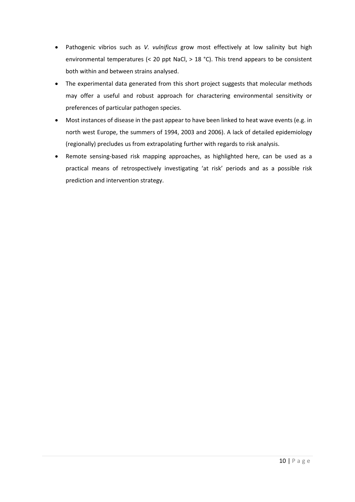- Pathogenic vibrios such as *V. vulnificus* grow most effectively at low salinity but high environmental temperatures (< 20 ppt NaCl, > 18 °C). This trend appears to be consistent both within and between strains analysed.
- The experimental data generated from this short project suggests that molecular methods may offer a useful and robust approach for charactering environmental sensitivity or preferences of particular pathogen species.
- Most instances of disease in the past appear to have been linked to heat wave events (e.g. in north west Europe, the summers of 1994, 2003 and 2006). A lack of detailed epidemiology (regionally) precludes us from extrapolating further with regards to risk analysis.
- Remote sensing-based risk mapping approaches, as highlighted here, can be used as a practical means of retrospectively investigating 'at risk' periods and as a possible risk prediction and intervention strategy.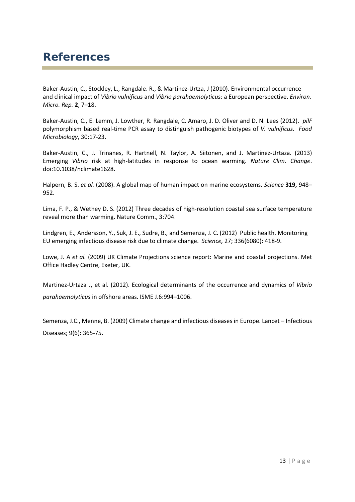### **References**

Baker-Austin, C., Stockley, L., Rangdale. R., & Martinez-Urtza, J (2010). Environmental occurrence and clinical impact of *Vibrio vulnificus* and *Vibrio parahaemolyticus*: a European perspective. *Environ. Micro. Rep.* **2**, 7–18.

Baker-Austin, C., E. Lemm, J. Lowther, R. Rangdale, C. Amaro, J. D. Oliver and D. N. Lees (2012). *pilF* polymorphism based real-time PCR assay to distinguish pathogenic biotypes of *V. vulnificus*. *Food Microbiology*, 30:17-23.

Baker-Austin, C., J. Trinanes, R. Hartnell, N. Taylor, A. Siitonen, and J. Martinez-Urtaza. (2013) Emerging *Vibrio* risk at high-latitudes in response to ocean warming. *Nature Clim. Change*. doi:10.1038/nclimate1628.

Halpern, B. S. *et al.* (2008). A global map of human impact on marine ecosystems. *Science* **319,** 948– 952.

Lima, F. P., & Wethey D. S. (2012) Three decades of high-resolution coastal sea surface temperature reveal more than warming. Nature Comm., 3:704.

[Lindgren, E.](http://www.ncbi.nlm.nih.gov/pubmed?term=Lindgren%20E%5BAuthor%5D&cauthor=true&cauthor_uid=22539705)[, Andersson, Y.](http://www.ncbi.nlm.nih.gov/pubmed?term=Andersson%20Y%5BAuthor%5D&cauthor=true&cauthor_uid=22539705)[, Suk, J. E.](http://www.ncbi.nlm.nih.gov/pubmed?term=Suk%20JE%5BAuthor%5D&cauthor=true&cauthor_uid=22539705), [Sudre, B.](http://www.ncbi.nlm.nih.gov/pubmed?term=Sudre%20B%5BAuthor%5D&cauthor=true&cauthor_uid=22539705), and [Semenza, J. C.](http://www.ncbi.nlm.nih.gov/pubmed?term=Semenza%20JC%5BAuthor%5D&cauthor=true&cauthor_uid=22539705) (2012) Public health. Monitoring EU emerging infectious disease risk due to climate change. *Science,* 27; 336(6080): 418-9.

Lowe, J. A *et al.* (2009) UK Climate Projections science report: Marine and coastal projections. Met Office Hadley Centre, Exeter, UK.

Martinez-Urtaza J, et al. (2012). Ecological determinants of the occurrence and dynamics of *Vibrio parahaemolyticus* in offshore areas. ISME J.6:994–1006.

[Semenza,](http://www.ncbi.nlm.nih.gov/pubmed/?term=Semenza%20JC%5BAuthor%5D&cauthor=true&cauthor_uid=19467476) J.C., [Menne,](http://www.ncbi.nlm.nih.gov/pubmed/?term=Menne%20B%5BAuthor%5D&cauthor=true&cauthor_uid=19467476) B. (2009) Climate change and infectious diseases in Europe. Lancet – Infectious Diseases; 9(6): 365-75.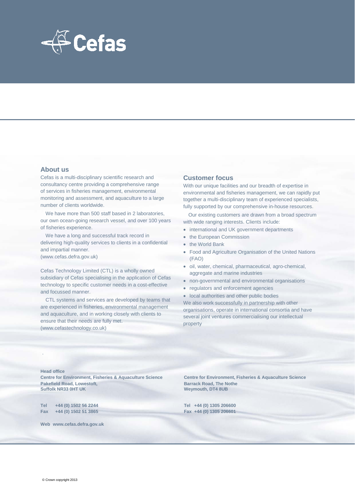

#### **About us**

Cefas is a multi-disciplinary scientific research and consultancy centre providing a comprehensive range of services in fisheries management, environmental monitoring and assessment, and aquaculture to a large number of clients worldwide.

We have more than 500 staff based in 2 laboratories, our own ocean-going research vessel, and over 100 years of fisheries experience.

We have a long and successful track record in delivering high-quality services to clients in a confidential and impartial manner. (www.cefas.defra.gov.uk)

Cefas Technology Limited (CTL) is a wholly owned subsidiary of Cefas specialising in the application of Cefas technology to specific customer needs in a cost-effective and focussed manner.

CTL systems and services are developed by teams that are experienced in fisheries, environmental management and aquaculture, and in working closely with clients to ensure that their needs are fully met. (www.cefastechnology.co.uk)

#### **Customer focus**

With our unique facilities and our breadth of expertise in environmental and fisheries management, we can rapidly put together a multi-disciplinary team of experienced specialists, fully supported by our comprehensive in-house resources.

Our existing customers are drawn from a broad spectrum with wide ranging interests. Clients include:

- international and UK government departments
- the European Commission
- the World Bank
- Food and Agriculture Organisation of the United Nations (FAO)
- oil, water, chemical, pharmaceutical, agro-chemical, aggregate and marine industries
- non-governmental and environmental organisations
- regulators and enforcement agencies
- local authorities and other public bodies

We also work successfully in partnership with other organisations, operate in international consortia and have several joint ventures commercialising our intellectual property

**Head office**

.

**Centre for Environment, Fisheries & Aquaculture Science Centre for Environment, Fisheries & Aquaculture Science Pakefield Road, Lowestoft, Suffolk NR33 0HT UK** 

**Tel +44 (0) 1502 56 2244 Tel +44 (0) 1305 206600 Fax +44 (0) 1502 51 3865 Fax +44 (0) 1305 206601**

**Weymouth, DT4 8UB** 

**Web www.cefas.defra.gov.uk**